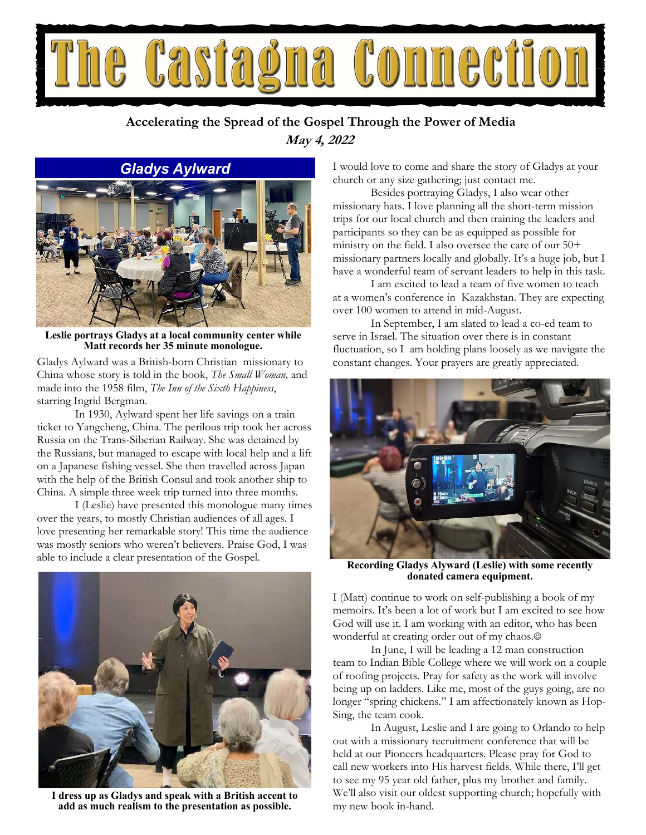

### **May 4, 2022 Accelerating the Spread of the Gospel Through the Power of Media**

#### *Gladys Aylward*



**Leslie portrays Gladys at a local community center while Matt records her 35 minute monologue.** 

Gladys Aylward was a British-born Christian missionary to China whose story is told in the book, *The Small Woman,* and made into the 1958 film, *The Inn of the Sixth Happiness*, starring Ingrid Bergman.

 In 1930, Aylward spent her life savings on a train ticket to Yangcheng, China. The perilous trip took her across Russia on the Trans-Siberian Railway. She was detained by the Russians, but managed to escape with local help and a lift on a Japanese fishing vessel. She then travelled across Japan with the help of the British Consul and took another ship to China. A simple three week trip turned into three months.

 I (Leslie) have presented this monologue many times over the years, to mostly Christian audiences of all ages. I love presenting her remarkable story! This time the audience was mostly seniors who weren't believers. Praise God, I was able to include a clear presentation of the Gospel.



**I dress up as Gladys and speak with a British accent to add as much realism to the presentation as possible.** 

I would love to come and share the story of Gladys at your church or any size gathering; just contact me.

 Besides portraying Gladys, I also wear other missionary hats. I love planning all the short-term mission trips for our local church and then training the leaders and participants so they can be as equipped as possible for ministry on the field. I also oversee the care of our 50+ missionary partners locally and globally. It's a huge job, but I have a wonderful team of servant leaders to help in this task.

 I am excited to lead a team of five women to teach at a women's conference in Kazakhstan. They are expecting over 100 women to attend in mid-August.

 In September, I am slated to lead a co-ed team to serve in Israel. The situation over there is in constant fluctuation, so I am holding plans loosely as we navigate the constant changes. Your prayers are greatly appreciated.



**Recording Gladys Alyward (Leslie) with some recently donated camera equipment.** 

I (Matt) continue to work on self-publishing a book of my memoirs. It's been a lot of work but I am excited to see how God will use it. I am working with an editor, who has been wonderful at creating order out of my chaos.

 In June, I will be leading a 12 man construction team to Indian Bible College where we will work on a couple of roofing projects. Pray for safety as the work will involve being up on ladders. Like me, most of the guys going, are no longer "spring chickens." I am affectionately known as Hop-Sing, the team cook.

 In August, Leslie and I are going to Orlando to help out with a missionary recruitment conference that will be held at our Pioneers headquarters. Please pray for God to call new workers into His harvest fields. While there, I'll get to see my 95 year old father, plus my brother and family. We'll also visit our oldest supporting church; hopefully with my new book in-hand.